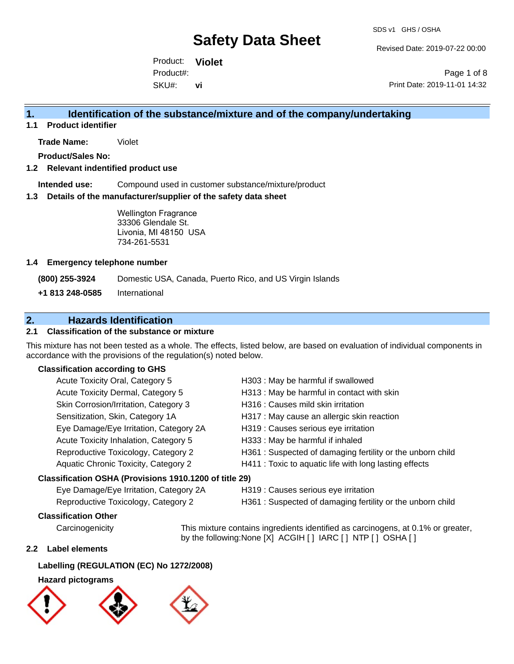Revised Date: 2019-07-22 00:00

Product: **Violet** SKU#: Product#: **vi**

Page 1 of 8 Print Date: 2019-11-01 14:32

### **1. Identification of the substance/mixture and of the company/undertaking**

**1.1 Product identifier**

**Trade Name:** Violet

**Product/Sales No:**

#### **1.2 Relevant indentified product use**

**Intended use:** Compound used in customer substance/mixture/product

#### **1.3 Details of the manufacturer/supplier of the safety data sheet**

Wellington Fragrance 33306 Glendale St. Livonia, MI 48150 USA 734-261-5531

#### **1.4 Emergency telephone number**

**(800) 255-3924** Domestic USA, Canada, Puerto Rico, and US Virgin Islands

**+1 813 248-0585** International

## **2. Hazards Identification**

#### **2.1 Classification of the substance or mixture**

This mixture has not been tested as a whole. The effects, listed below, are based on evaluation of individual components in accordance with the provisions of the regulation(s) noted below.

#### **Classification according to GHS**

|                                                        | Acute Toxicity Oral, Category 5        | H303 : May be harmful if swallowed                        |  |  |
|--------------------------------------------------------|----------------------------------------|-----------------------------------------------------------|--|--|
|                                                        | Acute Toxicity Dermal, Category 5      | H313 : May be harmful in contact with skin                |  |  |
|                                                        | Skin Corrosion/Irritation, Category 3  | H316 : Causes mild skin irritation                        |  |  |
|                                                        | Sensitization, Skin, Category 1A       | H317 : May cause an allergic skin reaction                |  |  |
|                                                        | Eye Damage/Eye Irritation, Category 2A | H319 : Causes serious eye irritation                      |  |  |
|                                                        | Acute Toxicity Inhalation, Category 5  | H333: May be harmful if inhaled                           |  |  |
|                                                        | Reproductive Toxicology, Category 2    | H361: Suspected of damaging fertility or the unborn child |  |  |
|                                                        | Aquatic Chronic Toxicity, Category 2   | H411 : Toxic to aquatic life with long lasting effects    |  |  |
| Classification OSHA (Provisions 1910.1200 of title 29) |                                        |                                                           |  |  |
|                                                        |                                        |                                                           |  |  |

Eye Damage/Eye Irritation, Category 2A H319 : Causes serious eye irritation

- 
- Reproductive Toxicology, Category 2 H361 : Suspected of damaging fertility or the unborn child

#### **Classification Other**

Carcinogenicity This mixture contains ingredients identified as carcinogens, at 0.1% or greater, by the following:None [X] ACGIH [ ] IARC [ ] NTP [ ] OSHA [ ]

#### **2.2 Label elements**

#### **Labelling (REGULATION (EC) No 1272/2008)**

#### **Hazard pictograms**

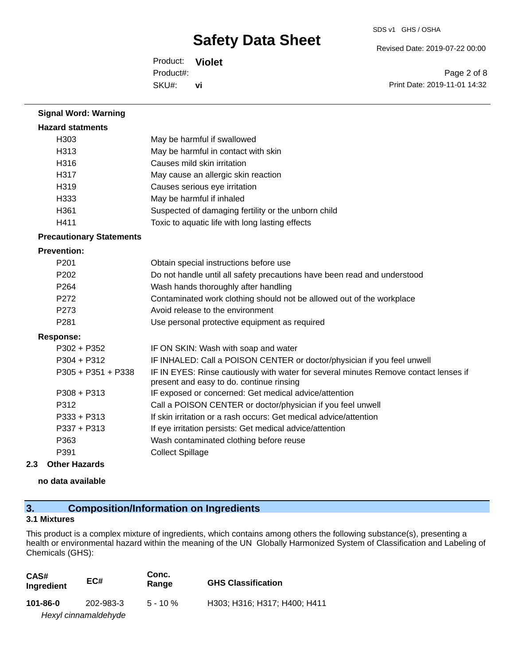Revised Date: 2019-07-22 00:00

Product: **Violet** SKU#: Product#: **vi**

Page 2 of 8 Print Date: 2019-11-01 14:32

| <b>Hazard statments</b>         |                                                                                                                                  |
|---------------------------------|----------------------------------------------------------------------------------------------------------------------------------|
| H303                            | May be harmful if swallowed                                                                                                      |
| H313                            | May be harmful in contact with skin                                                                                              |
| H316                            | Causes mild skin irritation                                                                                                      |
| H317                            | May cause an allergic skin reaction                                                                                              |
| H319                            | Causes serious eye irritation                                                                                                    |
| H333                            | May be harmful if inhaled                                                                                                        |
| H361                            | Suspected of damaging fertility or the unborn child                                                                              |
| H411                            | Toxic to aquatic life with long lasting effects                                                                                  |
| <b>Precautionary Statements</b> |                                                                                                                                  |
| <b>Prevention:</b>              |                                                                                                                                  |
| P201                            | Obtain special instructions before use                                                                                           |
| P202                            | Do not handle until all safety precautions have been read and understood                                                         |
| P <sub>264</sub>                | Wash hands thoroughly after handling                                                                                             |
| P272                            | Contaminated work clothing should not be allowed out of the workplace                                                            |
| P273                            | Avoid release to the environment                                                                                                 |
| P281                            | Use personal protective equipment as required                                                                                    |
| <b>Response:</b>                |                                                                                                                                  |
| P302 + P352                     | IF ON SKIN: Wash with soap and water                                                                                             |
| P304 + P312                     | IF INHALED: Call a POISON CENTER or doctor/physician if you feel unwell                                                          |
| $P305 + P351 + P338$            | IF IN EYES: Rinse cautiously with water for several minutes Remove contact lenses if<br>present and easy to do. continue rinsing |
| $P308 + P313$                   | IF exposed or concerned: Get medical advice/attention                                                                            |
| P312                            | Call a POISON CENTER or doctor/physician if you feel unwell                                                                      |
| $P333 + P313$                   | If skin irritation or a rash occurs: Get medical advice/attention                                                                |
| P337 + P313                     | If eye irritation persists: Get medical advice/attention                                                                         |
| P363                            | Wash contaminated clothing before reuse                                                                                          |
| P391                            | <b>Collect Spillage</b>                                                                                                          |
| <b>Other Hazards</b><br>2.3     |                                                                                                                                  |

**no data available**

**Signal Word: Warning**

## **3. Composition/Information on Ingredients**

## **3.1 Mixtures**

This product is a complex mixture of ingredients, which contains among others the following substance(s), presenting a health or environmental hazard within the meaning of the UN Globally Harmonized System of Classification and Labeling of Chemicals (GHS):

| CAS#<br>Ingredient | EC#                  | Conc.<br>Range | <b>GHS Classification</b>    |
|--------------------|----------------------|----------------|------------------------------|
| 101-86-0           | 202-983-3            | $5 - 10 \%$    | H303; H316; H317; H400; H411 |
|                    | Hexyl cinnamaldehyde |                |                              |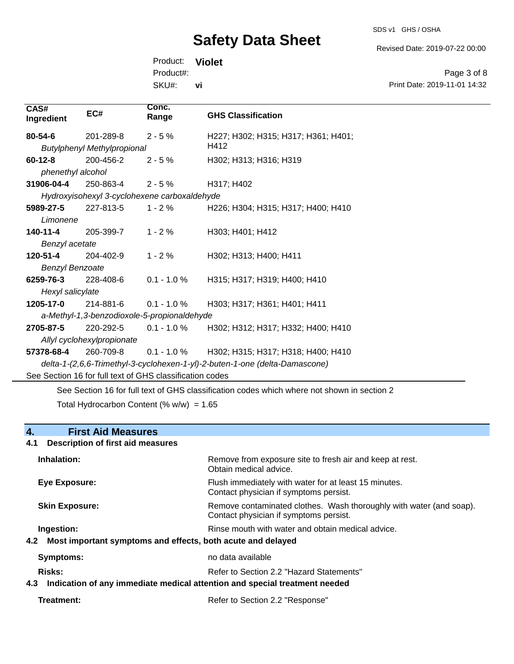SDS v1 GHS / OSHA

Revised Date: 2019-07-22 00:00

Print Date: 2019-11-01 14:32

Page 3 of 8

Product: **Violet** SKU#: Product#: **vi**

**Conc. Range GHS Classification CAS# Ingredient EC#** 201-289-8 *Butylphenyl Methylpropional* 2 - 5 % H227; H302; H315; H317; H361; H401; H412 **80-54-6** 200-456-2 *phenethyl alcohol* **60-12-8** 2 - 5 % H302; H313; H316; H319 250-863-4 *Hydroxyisohexyl 3-cyclohexene carboxaldehyde* **31906-04-4** 250-863-4 2 - 5 % H317; H402 227-813-5 *Limonene* **5989-27-5** 227-813-5 1 - 2 % H226; H304; H315; H317; H400; H410 205-399-7 *Benzyl acetate* **140-11-4** 205-399-7 1 - 2 % H303; H401; H412 204-402-9 *Benzyl Benzoate* **120-51-4** 1 - 2 % H302; H313; H400; H411 228-408-6 *Hexyl salicylate* **6259-76-3** 0.1 - 1.0 % H315; H317; H319; H400; H410 214-881-6 *a-Methyl-1,3-benzodioxole-5-propionaldehyde* **1205-17-0** 214-881-6 0.1 - 1.0 % H303; H317; H361; H401; H411 220-292-5 *Allyl cyclohexylpropionate* **2705-87-5** 220-292-5 0.1 - 1.0 % H302; H312; H317; H332; H400; H410 260-709-8 *delta-1-(2,6,6-Trimethyl-3-cyclohexen-1-yl)-2-buten-1-one (delta-Damascone)* **57378-68-4** 260-709-8 0.1 - 1.0 % H302; H315; H317; H318; H400; H410 See Section 16 for full text of GHS classification codes

See Section 16 for full text of GHS classification codes which where not shown in section 2 Total Hydrocarbon Content (%  $w/w$ ) = 1.65

| <b>First Aid Measures</b>                                                         |                                                                                                               |  |  |  |  |
|-----------------------------------------------------------------------------------|---------------------------------------------------------------------------------------------------------------|--|--|--|--|
| <b>Description of first aid measures</b><br>4.1                                   |                                                                                                               |  |  |  |  |
| Inhalation:                                                                       | Remove from exposure site to fresh air and keep at rest.<br>Obtain medical advice.                            |  |  |  |  |
| Eye Exposure:                                                                     | Flush immediately with water for at least 15 minutes.<br>Contact physician if symptoms persist.               |  |  |  |  |
| <b>Skin Exposure:</b>                                                             | Remove contaminated clothes. Wash thoroughly with water (and soap).<br>Contact physician if symptoms persist. |  |  |  |  |
| Ingestion:                                                                        | Rinse mouth with water and obtain medical advice.                                                             |  |  |  |  |
| Most important symptoms and effects, both acute and delayed<br>4.2                |                                                                                                               |  |  |  |  |
| <b>Symptoms:</b>                                                                  | no data available                                                                                             |  |  |  |  |
| Risks:                                                                            | Refer to Section 2.2 "Hazard Statements"                                                                      |  |  |  |  |
| Indication of any immediate medical attention and special treatment needed<br>4.3 |                                                                                                               |  |  |  |  |
| Treatment:                                                                        | Refer to Section 2.2 "Response"                                                                               |  |  |  |  |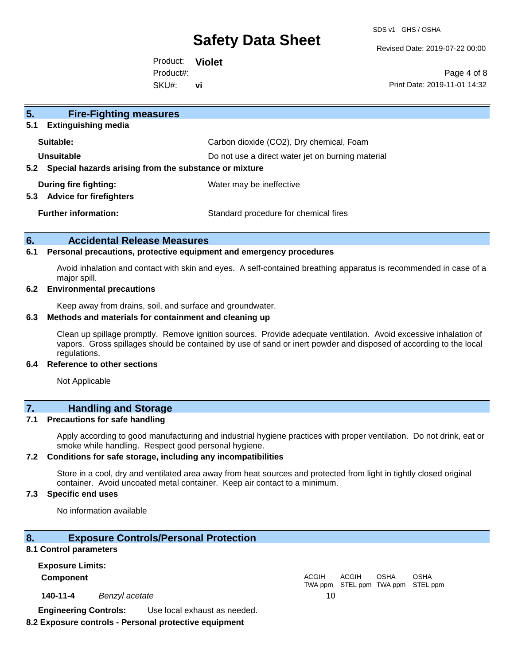SDS v1 GHS / OSHA

Revised Date: 2019-07-22 00:00

Product: **Violet** SKU#: Product#: **vi**

Page 4 of 8 Print Date: 2019-11-01 14:32

| 5 <sub>1</sub><br><b>Fire-Fighting measures</b>                |                                                   |  |  |
|----------------------------------------------------------------|---------------------------------------------------|--|--|
| <b>Extinguishing media</b><br>5.1                              |                                                   |  |  |
| Suitable:                                                      | Carbon dioxide (CO2), Dry chemical, Foam          |  |  |
| Unsuitable                                                     | Do not use a direct water jet on burning material |  |  |
| Special hazards arising from the substance or mixture<br>5.2   |                                                   |  |  |
| During fire fighting:<br><b>Advice for firefighters</b><br>5.3 | Water may be ineffective                          |  |  |
| <b>Further information:</b>                                    | Standard procedure for chemical fires             |  |  |

#### **6. Accidental Release Measures**

#### **6.1 Personal precautions, protective equipment and emergency procedures**

Avoid inhalation and contact with skin and eyes. A self-contained breathing apparatus is recommended in case of a major spill.

#### **6.2 Environmental precautions**

Keep away from drains, soil, and surface and groundwater.

#### **6.3 Methods and materials for containment and cleaning up**

Clean up spillage promptly. Remove ignition sources. Provide adequate ventilation. Avoid excessive inhalation of vapors. Gross spillages should be contained by use of sand or inert powder and disposed of according to the local regulations.

#### **6.4 Reference to other sections**

Not Applicable

## **7. Handling and Storage**

#### **7.1 Precautions for safe handling**

Apply according to good manufacturing and industrial hygiene practices with proper ventilation. Do not drink, eat or smoke while handling. Respect good personal hygiene.

#### **7.2 Conditions for safe storage, including any incompatibilities**

Store in a cool, dry and ventilated area away from heat sources and protected from light in tightly closed original container. Avoid uncoated metal container. Keep air contact to a minimum.

#### **7.3 Specific end uses**

No information available

#### **8. Exposure Controls/Personal Protection**

#### **8.1 Control parameters**

**Exposure Limits: Component** ACGIH

**140-11-4** *Benzyl acetate* 10

TWA ppm STEL ppm TWA ppm STEL ppm ACGIH OSHA OSHA

**Engineering Controls:** Use local exhaust as needed.

#### **8.2 Exposure controls - Personal protective equipment**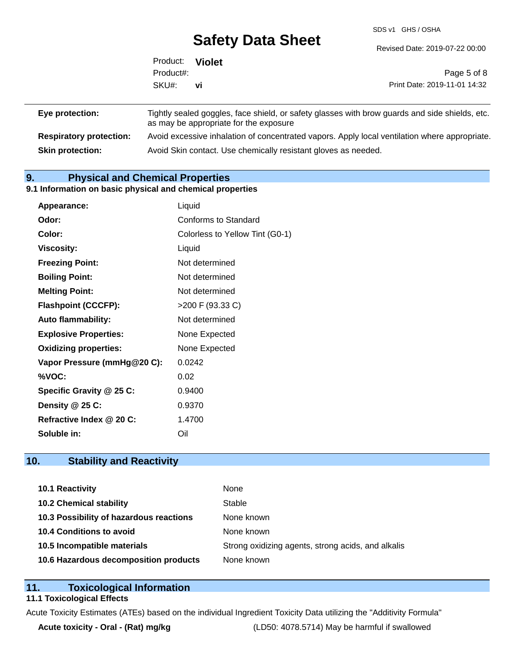SDS v1 GHS / OSHA

|                 | <b>DUIDLY DUIU DIIDDL</b> | Revised Date: 2019-07-22 00:00 |
|-----------------|---------------------------|--------------------------------|
| Product: Violet |                           |                                |
| Product#:       |                           | Page 5 of 8                    |
| SKU#:           | vi                        | Print Date: 2019-11-01 14:32   |

| <b>Eye protection:</b>         | Tightly sealed goggles, face shield, or safety glasses with brow guards and side shields, etc.<br>as may be appropriate for the exposure |
|--------------------------------|------------------------------------------------------------------------------------------------------------------------------------------|
| <b>Respiratory protection:</b> | Avoid excessive inhalation of concentrated vapors. Apply local ventilation where appropriate.                                            |
| <b>Skin protection:</b>        | Avoid Skin contact. Use chemically resistant gloves as needed.                                                                           |

### **9. Physical and Chemical Properties**

#### **9.1 Information on basic physical and chemical properties**

| Appearance:                  | Liquid                          |
|------------------------------|---------------------------------|
| Odor:                        | Conforms to Standard            |
| Color:                       | Colorless to Yellow Tint (G0-1) |
| <b>Viscosity:</b>            | Liquid                          |
| <b>Freezing Point:</b>       | Not determined                  |
| <b>Boiling Point:</b>        | Not determined                  |
| <b>Melting Point:</b>        | Not determined                  |
| <b>Flashpoint (CCCFP):</b>   | >200 F (93.33 C)                |
| <b>Auto flammability:</b>    | Not determined                  |
| <b>Explosive Properties:</b> | None Expected                   |
| <b>Oxidizing properties:</b> | None Expected                   |
| Vapor Pressure (mmHg@20 C):  | 0.0242                          |
| %VOC:                        | 0.02                            |
| Specific Gravity @ 25 C:     | 0.9400                          |
| Density @ 25 C:              | 0.9370                          |
| Refractive Index @ 20 C:     | 1.4700                          |
| Soluble in:                  | Oil                             |

## **10. Stability and Reactivity**

| 10.1 Reactivity                         | None                                               |
|-----------------------------------------|----------------------------------------------------|
| <b>10.2 Chemical stability</b>          | Stable                                             |
| 10.3 Possibility of hazardous reactions | None known                                         |
| 10.4 Conditions to avoid                | None known                                         |
| 10.5 Incompatible materials             | Strong oxidizing agents, strong acids, and alkalis |
| 10.6 Hazardous decomposition products   | None known                                         |

## **11. Toxicological Information**

#### **11.1 Toxicological Effects**

Acute Toxicity Estimates (ATEs) based on the individual Ingredient Toxicity Data utilizing the "Additivity Formula"

**Acute toxicity - Oral - (Rat) mg/kg** (LD50: 4078.5714) May be harmful if swallowed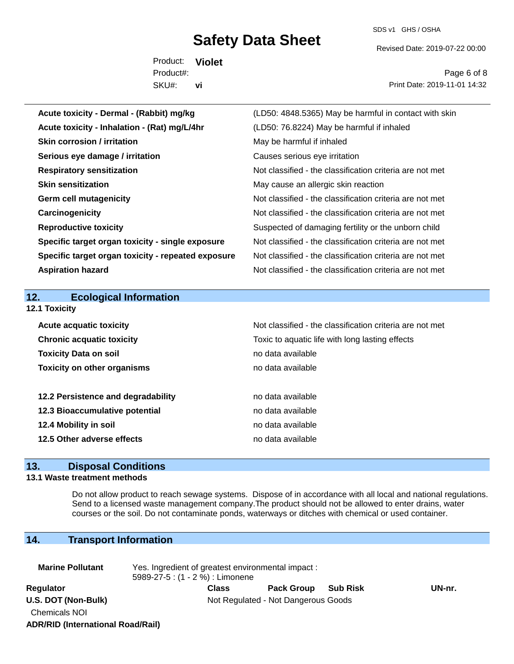SDS v1 GHS / OSHA

Revised Date: 2019-07-22 00:00

Product: **Violet** SKU#: Product#: **vi**

Page 6 of 8 Print Date: 2019-11-01 14:32

| Acute toxicity - Dermal - (Rabbit) mg/kg           | (LD50: 4848.5365) May be harmful in contact with skin    |
|----------------------------------------------------|----------------------------------------------------------|
| Acute toxicity - Inhalation - (Rat) mg/L/4hr       | (LD50: 76.8224) May be harmful if inhaled                |
| <b>Skin corrosion / irritation</b>                 | May be harmful if inhaled                                |
| Serious eye damage / irritation                    | Causes serious eye irritation                            |
| <b>Respiratory sensitization</b>                   | Not classified - the classification criteria are not met |
| <b>Skin sensitization</b>                          | May cause an allergic skin reaction                      |
| <b>Germ cell mutagenicity</b>                      | Not classified - the classification criteria are not met |
| Carcinogenicity                                    | Not classified - the classification criteria are not met |
| <b>Reproductive toxicity</b>                       | Suspected of damaging fertility or the unborn child      |
| Specific target organ toxicity - single exposure   | Not classified - the classification criteria are not met |
| Specific target organ toxicity - repeated exposure | Not classified - the classification criteria are not met |
| <b>Aspiration hazard</b>                           | Not classified - the classification criteria are not met |
|                                                    |                                                          |
|                                                    |                                                          |
| 12.<br><b>Ecological Information</b>               |                                                          |
| 12.1 Toxicity                                      |                                                          |
| <b>Acute acquatic toxicity</b>                     | Not classified - the classification criteria are not met |
| <b>Chronic acquatic toxicity</b>                   | Toxic to aquatic life with long lasting effects          |
| <b>Toxicity Data on soil</b>                       | no data available                                        |
| <b>Toxicity on other organisms</b>                 | no data available                                        |
|                                                    |                                                          |
| 12.2 Persistence and degradability                 | no data available                                        |
| 12.3 Bioaccumulative potential                     | no data available                                        |
| 12.4 Mobility in soil                              | no data available                                        |
| 12.5 Other adverse effects                         | no data available                                        |

### **13. Disposal Conditions**

#### **13.1 Waste treatment methods**

Do not allow product to reach sewage systems. Dispose of in accordance with all local and national regulations. Send to a licensed waste management company.The product should not be allowed to enter drains, water courses or the soil. Do not contaminate ponds, waterways or ditches with chemical or used container.

## **14. Transport Information**

**ADR/RID (International Road/Rail)**

| <b>Marine Pollutant</b>                     | Yes. Ingredient of greatest environmental impact:<br>5989-27-5 : (1 - 2 %) : Limonene |                                     |                   |          |        |  |
|---------------------------------------------|---------------------------------------------------------------------------------------|-------------------------------------|-------------------|----------|--------|--|
| Regulator                                   |                                                                                       | Class                               | <b>Pack Group</b> | Sub Risk | UN-nr. |  |
| U.S. DOT (Non-Bulk)<br><b>Chemicals NOI</b> |                                                                                       | Not Regulated - Not Dangerous Goods |                   |          |        |  |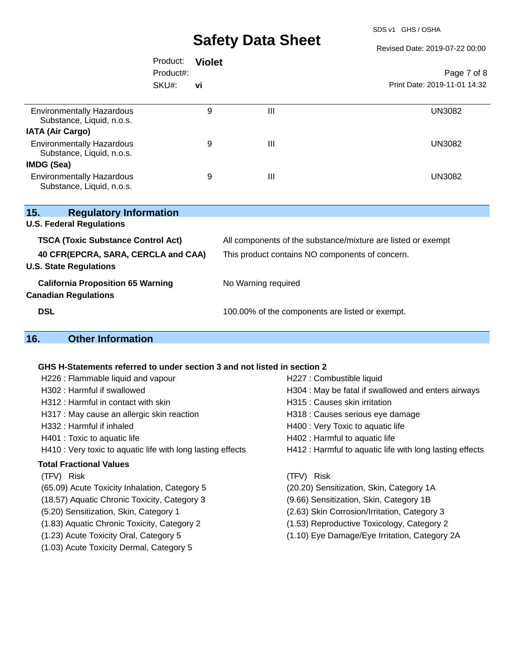SDS v1 GHS / OSHA

Revised Date: 2019-07-22 00:00

|                                                               | Product:  | <b>Violet</b> |                |                              |
|---------------------------------------------------------------|-----------|---------------|----------------|------------------------------|
|                                                               | Product#: |               |                | Page 7 of 8                  |
|                                                               | SKU#:     | vi            |                | Print Date: 2019-11-01 14:32 |
| <b>Environmentally Hazardous</b><br>Substance, Liquid, n.o.s. |           | 9             | Ш              | <b>UN3082</b>                |
| <b>IATA (Air Cargo)</b>                                       |           |               |                |                              |
| <b>Environmentally Hazardous</b><br>Substance, Liquid, n.o.s. |           | 9             | $\mathbf{III}$ | <b>UN3082</b>                |
| IMDG (Sea)                                                    |           |               |                |                              |
| <b>Environmentally Hazardous</b><br>Substance, Liquid, n.o.s. |           | 9             | $\mathbf{III}$ | <b>UN3082</b>                |
| 15.<br><b>Regulatory Information</b>                          |           |               |                |                              |
| <b>U.S. Federal Regulations</b>                               |           |               |                |                              |
|                                                               |           |               |                |                              |

| All components of the substance/mixture are listed or exempt |
|--------------------------------------------------------------|
| This product contains NO components of concern.              |
|                                                              |
| No Warning required                                          |
|                                                              |
| 100.00% of the components are listed or exempt.              |
|                                                              |

## **16. Other Information**

#### **GHS H-Statements referred to under section 3 and not listed in section 2**

| H226 : Flammable liquid and vapour                          | H227 : Combustible liquid                                |
|-------------------------------------------------------------|----------------------------------------------------------|
| H302 : Harmful if swallowed                                 | H304 : May be fatal if swallowed and enters airways      |
| H312 : Harmful in contact with skin                         | H315 : Causes skin irritation                            |
| H317 : May cause an allergic skin reaction                  | H318 : Causes serious eye damage                         |
| H332 : Harmful if inhaled                                   | H400 : Very Toxic to aquatic life                        |
| H401 : Toxic to aquatic life                                | H402 : Harmful to aquatic life                           |
| H410 : Very toxic to aquatic life with long lasting effects | H412 : Harmful to aquatic life with long lasting effects |
| <b>Total Fractional Values</b>                              |                                                          |
| (TFV) Risk                                                  | (TFV) Risk                                               |
| (65.09) Acute Toxicity Inhalation, Category 5               | (20.20) Sensitization, Skin, Category 1A                 |
| (18.57) Aquatic Chronic Toxicity, Category 3                | (9.66) Sensitization, Skin, Category 1B                  |
| (5.20) Sensitization, Skin, Category 1                      | (2.63) Skin Corrosion/Irritation, Category 3             |
| (1.83) Aquatic Chronic Toxicity, Category 2                 | (1.53) Reproductive Toxicology, Category 2               |
| (1.23) Acute Toxicity Oral, Category 5                      | (1.10) Eye Damage/Eye Irritation, Category 2A            |
| (1.03) Acute Toxicity Dermal, Category 5                    |                                                          |